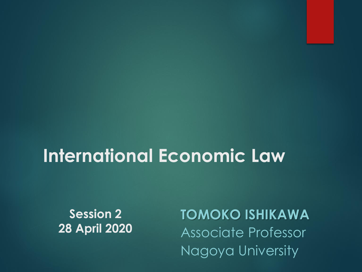### **International Economic Law**

**Session 2 28 April 2020** **TOMOKO ISHIKAWA** Associate Professor Nagoya University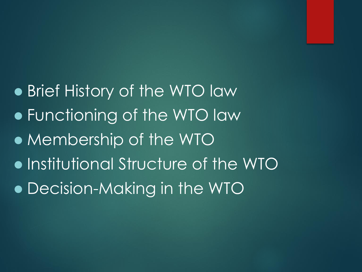⚫ Brief History of the WTO law ⚫ Functioning of the WTO law ⚫ Membership of the WTO ⚫ Institutional Structure of the WTO ⚫ Decision-Making in the WTO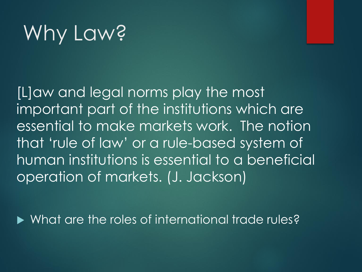# Why Law?

[L]aw and legal norms play the most important part of the institutions which are essential to make markets work. The notion that 'rule of law' or a rule-based system of human institutions is essential to a beneficial operation of markets. (J. Jackson)

What are the roles of international trade rules?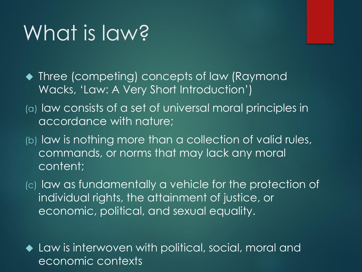## What is law?

- ◆ Three (competing) concepts of law (Raymond Wacks, 'Law: A Very Short Introduction')
- (a) law consists of a set of universal moral principles in accordance with nature;
- (b) law is nothing more than a collection of valid rules, commands, or norms that may lack any moral content;
- (c) law as fundamentally a vehicle for the protection of individual rights, the attainment of justice, or economic, political, and sexual equality.

◆ Law is interwoven with political, social, moral and economic contexts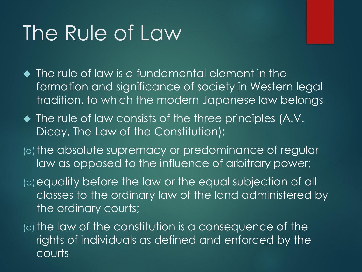## The Rule of Law

◆ The rule of law is a fundamental element in the formation and significance of society in Western legal tradition, to which the modern Japanese law belongs

- ◆ The rule of law consists of the three principles (A.V. Dicey, The Law of the Constitution):
- (a) the absolute supremacy or predominance of regular law as opposed to the influence of arbitrary power;

(b)equality before the law or the equal subjection of all classes to the ordinary law of the land administered by the ordinary courts;

 $(c)$  the law of the constitution is a consequence of the rights of individuals as defined and enforced by the courts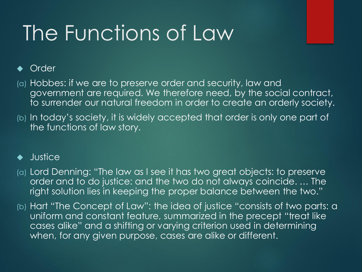## The Functions of Law

### **Order**

- (a) Hobbes: if we are to preserve order and security, law and government are required. We therefore need, by the social contract, to surrender our natural freedom in order to create an orderly society.
- (b) In today's society, it is widely accepted that order is only one part of the functions of law story.

### **Justice**

- (a) Lord Denning: "The law as I see it has two great objects: to preserve order and to do justice: and the two do not always coincide. … The right solution lies in keeping the proper balance between the two."
- (b) Hart "The Concept of Law": the idea of justice "consists of two parts: a uniform and constant feature, summarized in the precept "treat like cases alike" and a shifting or varying criterion used in determining when, for any given purpose, cases are alike or different.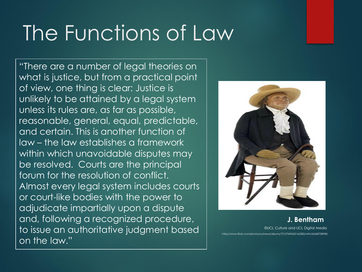## The Functions of Law

"There are a number of legal theories on what is justice, but from a practical point of view, one thing is clear: Justice is unlikely to be attained by a legal system unless its rules are, as far as possible, reasonable, general, equal, predictable, and certain. This is another function of law – the law establishes a framework within which unavoidable disputes may be resolved. Courts are the principal forum for the resolution of conflict. Almost every legal system includes courts or court-like bodies with the power to adjudicate impartially upon a dispute and, following a recognized procedure, to issue an authoritative judgment based on the law."



**J. Bentham** ©UCL Culture and UCL Digital Media https://www.flickr.com/photos/uclnews/albums/72157690422165582/with/26368708908/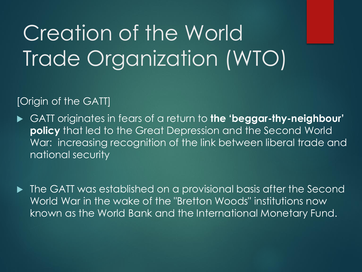### [Origin of the GATT]

 GATT originates in fears of a return to **the 'beggar-thy-neighbour' policy** that led to the Great Depression and the Second World War: increasing recognition of the link between liberal trade and national security

 $\blacktriangleright$  The GATT was established on a provisional basis after the Second World War in the wake of the "Bretton Woods" institutions now known as the World Bank and the International Monetary Fund.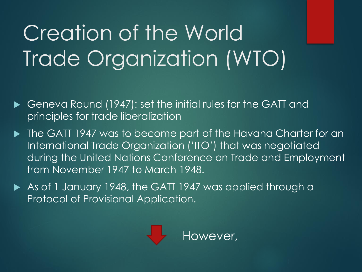- ▶ Geneva Round (1947): set the initial rules for the GATT and principles for trade liberalization
- ▶ The GATT 1947 was to become part of the Havana Charter for an International Trade Organization ('ITO') that was negotiated during the United Nations Conference on Trade and Employment from November 1947 to March 1948.
- As of 1 January 1948, the GATT 1947 was applied through a Protocol of Provisional Application.

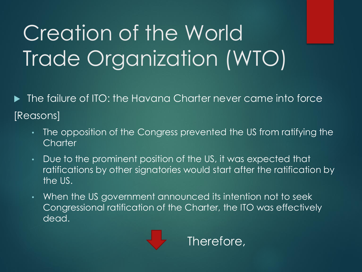The failure of ITO: the Havana Charter never came into force [Reasons]

- The opposition of the Congress prevented the US from ratifying the **Charter**
- Due to the prominent position of the US, it was expected that ratifications by other signatories would start after the ratification by the US.
- When the US government announced its intention not to seek Congressional ratification of the Charter, the ITO was effectively dead.

Therefore,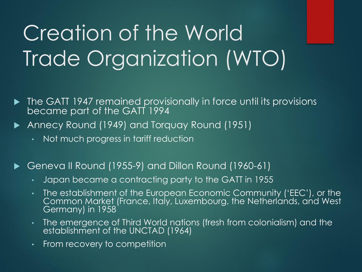- **The GATT 1947 remained provisionally in force until its provisions** became part of the GATT 1994
- ▶ Annecy Round (1949) and Torquay Round (1951)
	- Not much progress in tariff reduction

### Geneva II Round (1955-9) and Dillon Round (1960-61)

- Japan became a contracting party to the GATT in 1955
- The establishment of the European Economic Community ('EEC'), or the Common Market (France, Italy, Luxembourg, the Netherlands, and West Germany) in 1958
- The emergence of Third World nations (fresh from colonialism) and the establishment of the UNCTAD (1964)
- From recovery to competition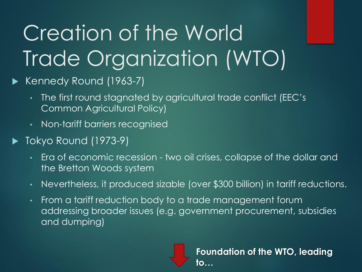### ▶ Kennedy Round (1963-7)

- The first round stagnated by agricultural trade conflict (EEC's Common Agricultural Policy)
- Non-tariff barriers recognised
- $\blacktriangleright$  Tokyo Round (1973-9)
	- Era of economic recession two oil crises, collapse of the dollar and the Bretton Woods system
	- Nevertheless, it produced sizable (over \$300 billion) in tariff reductions.
	- From a tariff reduction body to a trade management forum addressing broader issues (e.g. government procurement, subsidies and dumping)

**Foundation of the WTO, leading to…**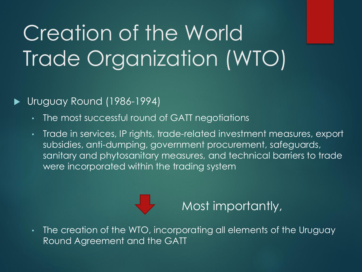Uruguay Round (1986-1994)

- The most successful round of GATT negotiations
- Trade in services, IP rights, trade-related investment measures, export subsidies, anti-dumping, government procurement, safeguards, sanitary and phytosanitary measures, and technical barriers to trade were incorporated within the trading system

**Most importantly,** 

• The creation of the WTO, incorporating all elements of the Uruguay Round Agreement and the GATT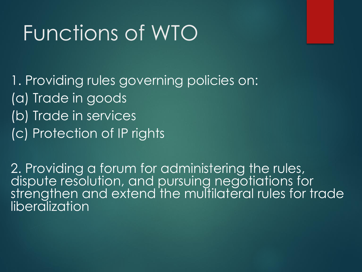## Functions of WTO

1. Providing rules governing policies on: (a) Trade in goods (b) Trade in services (c) Protection of IP rights

2. Providing a forum for administering the rules, dispute resolution, and pursuing negotiations for strengthen and extend the multilateral rules for trade liberalization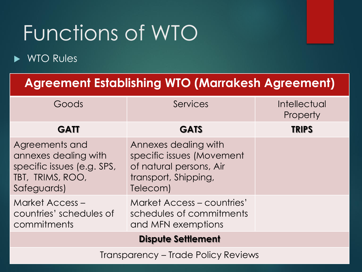# Functions of WTO

### ▶ WTO Rules

### **Agreement Establishing WTO (Marrakesh Agreement)**

| Goods                                                                                                   | Services                                                                                                         | <b>Intellectual</b><br>Property |
|---------------------------------------------------------------------------------------------------------|------------------------------------------------------------------------------------------------------------------|---------------------------------|
| <b>GATT</b>                                                                                             | <b>GATS</b>                                                                                                      | <b>TRIPS</b>                    |
| Agreements and<br>annexes dealing with<br>specific issues (e.g. SPS,<br>TBT, TRIMS, ROO,<br>Safeguards) | Annexes dealing with<br>specific issues (Movement<br>of natural persons, Air<br>transport, Shipping,<br>Telecom) |                                 |
| Market Access -<br>countries' schedules of<br>commitments                                               | <b>Market Access - countries'</b><br>schedules of commitments<br>and MFN exemptions                              |                                 |
| <b>Dispute Settlement</b>                                                                               |                                                                                                                  |                                 |
| <b>Transparency - Trade Policy Reviews</b>                                                              |                                                                                                                  |                                 |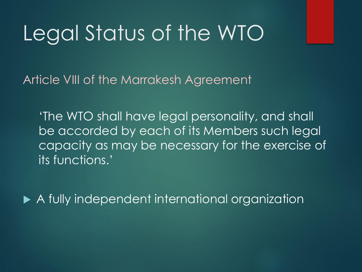## Legal Status of the WTO

Article VIII of the Marrakesh Agreement

'The WTO shall have legal personality, and shall be accorded by each of its Members such legal capacity as may be necessary for the exercise of its functions.'

A fully independent international organization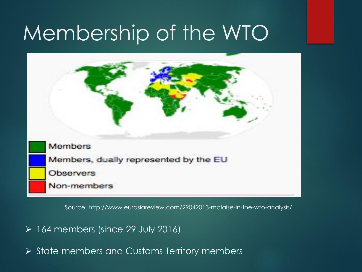

Source: http://www.eurasiareview.com/29042013-malaise-in-the-wto-analysis/

- ➢ 164 members (since 29 July 2016)
- ➢ State members and Customs Territory members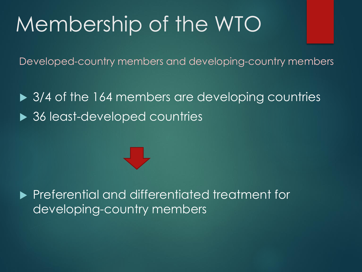Developed-country members and developing-country members

▶ 3/4 of the 164 members are developing countries ▶ 36 least-developed countries

**Preferential and differentiated treatment for** developing-country members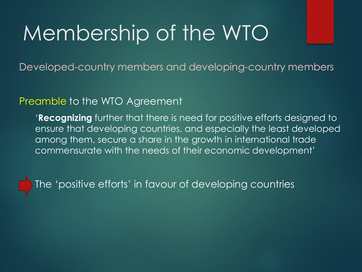Developed-country members and developing-country members

#### Preamble to the WTO Agreement

'**Recognizing** further that there is need for positive efforts designed to ensure that developing countries, and especially the least developed among them, secure a share in the growth in international trade commensurate with the needs of their economic development'

The 'positive efforts' in favour of developing countries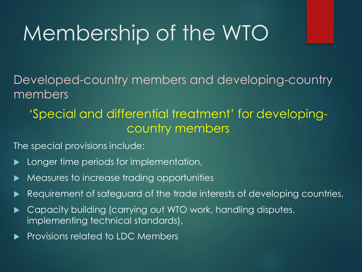Developed-country members and developing-country members

### 'Special and differential treatment' for developingcountry members

The special provisions include:

- Longer time periods for implementation,
- Measures to increase trading opportunities
- Requirement of safeguard of the trade interests of developing countries,
- Capacity building (carrying out WTO work, handling disputes, implementing technical standards),
- Provisions related to LDC Members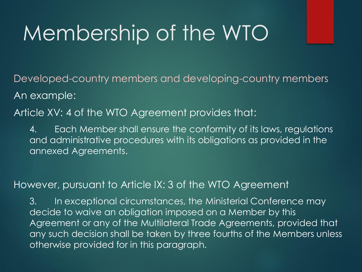Developed-country members and developing-country members An example:

Article XV: 4 of the WTO Agreement provides that:

4. Each Member shall ensure the conformity of its laws, regulations and administrative procedures with its obligations as provided in the annexed Agreements.

### However, pursuant to Article IX: 3 of the WTO Agreement

3. In exceptional circumstances, the Ministerial Conference may decide to waive an obligation imposed on a Member by this Agreement or any of the Multilateral Trade Agreements, provided that any such decision shall be taken by three fourths of the Members unless otherwise provided for in this paragraph.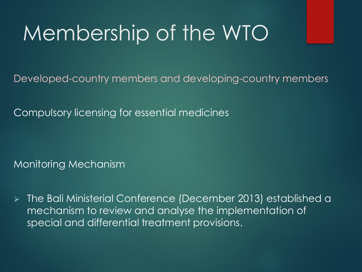Developed-country members and developing-country members

Compulsory licensing for essential medicines

Monitoring Mechanism

➢ The Bali Ministerial Conference (December 2013) established a mechanism to review and analyse the implementation of special and differential treatment provisions.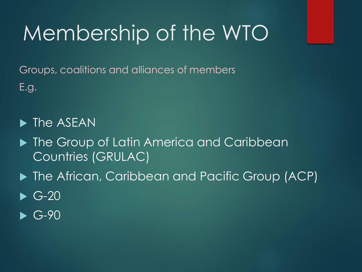Groups, coalitions and alliances of members E.g.

 $\blacktriangleright$  The ASEAN

- ▶ The Group of Latin America and Caribbean Countries (GRULAC)
- ▶ The African, Caribbean and Pacific Group (ACP)
- $\blacktriangleright$  G-20
- $\blacktriangleright$  G-90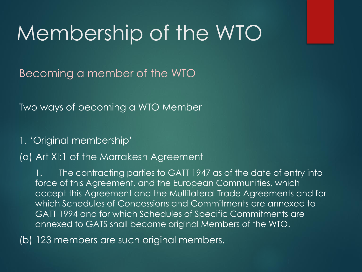Becoming a member of the WTO

Two ways of becoming a WTO Member

1. 'Original membership'

#### (a) Art XI:1 of the Marrakesh Agreement

The contracting parties to GATT 1947 as of the date of entry into force of this Agreement, and the European Communities, which accept this Agreement and the Multilateral Trade Agreements and for which Schedules of Concessions and Commitments are annexed to GATT 1994 and for which Schedules of Specific Commitments are annexed to GATS shall become original Members of the WTO.

(b) 123 members are such original members.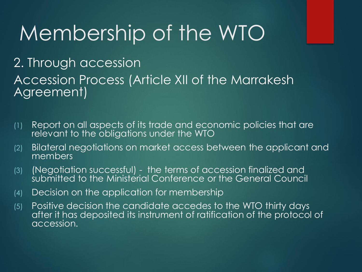2. Through accession Accession Process (Article XII of the Marrakesh Agreement)

- (1) Report on all aspects of its trade and economic policies that are relevant to the obligations under the WTO
- (2) Bilateral negotiations on market access between the applicant and members
- (3) (Negotiation successful) the terms of accession finalized and submitted to the Ministerial Conference or the General Council
- (4) Decision on the application for membership
- (5) Positive decision the candidate accedes to the WTO thirty days after it has deposited its instrument of ratification of the protocol of accession.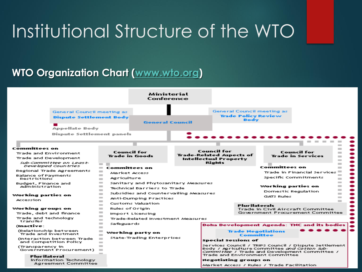### **WTO Organization Chart [\(www.wto.org\)](http://www.wto.org/)**

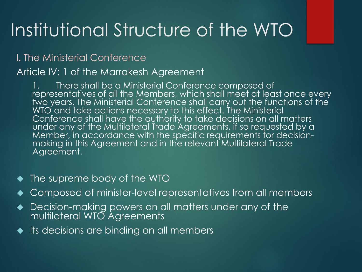### I. The Ministerial Conference

#### Article IV: 1 of the Marrakesh Agreement

There shall be a Ministerial Conference composed of representatives of all the Members, which shall meet at least once every two years. The Ministerial Conference shall carry out the functions of the WTO' and take actions necessary to this effect. The Ministerial Conference shall have the authority to take decisions on all matters under any of the Multilateral Trade Agreements, if so requested by a Member, in accordance with the specific requirements for decisionmaking in this Agreement and in the relevant Multilateral Trade Agreement.

- ◆ The supreme body of the WTO
- ◆ Composed of minister-level representatives from all members
- ◆ Decision-making powers on all matters under any of the multilateral WTO Agreements
- ◆ Its decisions are binding on all members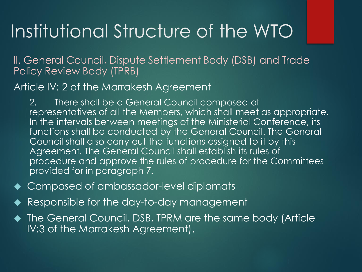II. General Council, Dispute Settlement Body (DSB) and Trade Policy Review Body (TPRB)

Article IV: 2 of the Marrakesh Agreement

2. There shall be a General Council composed of representatives of all the Members, which shall meet as appropriate. In the intervals between meetings of the Ministerial Conference, its functions shall be conducted by the General Council. The General Council shall also carry out the functions assigned to it by this Agreement. The General Council shall establish its rules of procedure and approve the rules of procedure for the Committees provided for in paragraph 7.

- ◆ Composed of ambassador-level diplomats
- Responsible for the day-to-day management

◆ The General Council, DSB, TPRM are the same body (Article IV:3 of the Marrakesh Agreement).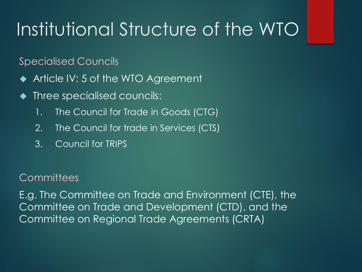Specialised Councils

- ◆ Article IV: 5 of the WTO Agreement
- Three specialised councils:
	- 1. The Council for Trade in Goods (CTG)
	- 2. The Council for trade in Services (CTS)
	- 3. Council for TRIPS

### **Committees**

E.g. The Committee on Trade and Environment (CTE), the Committee on Trade and Development (CTD), and the Committee on Regional Trade Agreements (CRTA)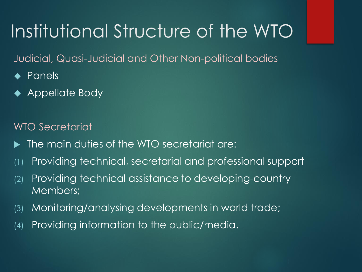Judicial, Quasi-Judicial and Other Non-political bodies

- ◆ Panels
- ◆ Appellate Body

WTO Secretariat

- The main duties of the WTO secretariat are:
- (1) Providing technical, secretarial and professional support
- (2) Providing technical assistance to developing-country Members;
- (3) Monitoring/analysing developments in world trade;
- (4) Providing information to the public/media.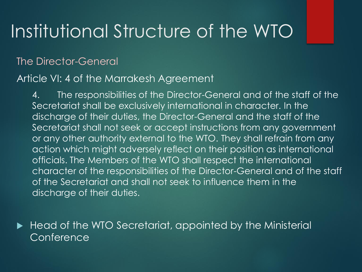### The Director-General

### Article VI: 4 of the Marrakesh Agreement

4. The responsibilities of the Director-General and of the staff of the Secretariat shall be exclusively international in character. In the discharge of their duties, the Director-General and the staff of the Secretariat shall not seek or accept instructions from any government or any other authority external to the WTO. They shall refrain from any action which might adversely reflect on their position as international officials. The Members of the WTO shall respect the international character of the responsibilities of the Director-General and of the staff of the Secretariat and shall not seek to influence them in the discharge of their duties.

 Head of the WTO Secretariat, appointed by the Ministerial Conference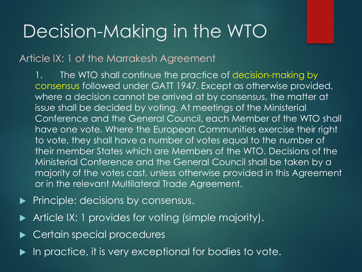### Decision-Making in the WTO

### Article IX: 1 of the Marrakesh Agreement

1. The WTO shall continue the practice of decision-making by consensus followed under GATT 1947. Except as otherwise provided, where a decision cannot be arrived at by consensus, the matter at issue shall be decided by voting. At meetings of the Ministerial Conference and the General Council, each Member of the WTO shall have one vote. Where the European Communities exercise their right to vote, they shall have a number of votes equal to the number of their member States which are Members of the WTO. Decisions of the Ministerial Conference and the General Council shall be taken by a majority of the votes cast, unless otherwise provided in this Agreement or in the relevant Multilateral Trade Agreement.

- $\blacktriangleright$  Principle: decisions by consensus.
- Article IX: 1 provides for voting (simple majority).
- Certain special procedures
- In practice, it is very exceptional for bodies to vote.